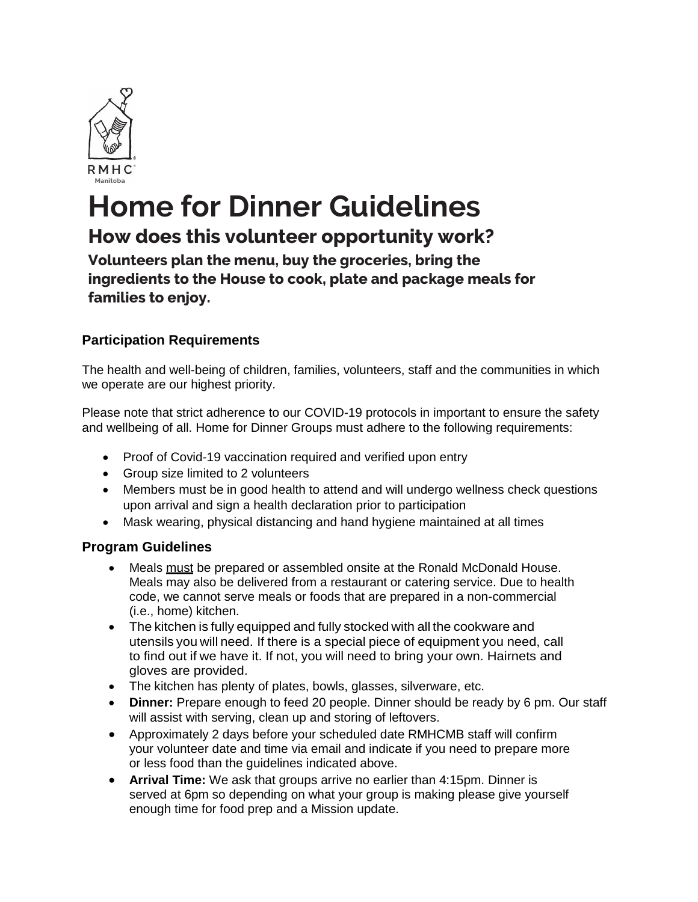

# **Home for Dinner Guidelines**

# **How does this volunteer opportunity work?**

**Volunteers plan the menu, buy the groceries, bring the ingredients to the House to cook, plate and package meals for families to enjoy.**

## **Participation Requirements**

The health and well-being of children, families, volunteers, staff and the communities in which we operate are our highest priority.

Please note that strict adherence to our COVID-19 protocols in important to ensure the safety and wellbeing of all. Home for Dinner Groups must adhere to the following requirements:

- Proof of Covid-19 vaccination required and verified upon entry
- Group size limited to 2 volunteers
- Members must be in good health to attend and will undergo wellness check questions upon arrival and sign a health declaration prior to participation
- Mask wearing, physical distancing and hand hygiene maintained at all times

### **Program Guidelines**

- Meals must be prepared or assembled onsite at the Ronald McDonald House. Meals may also be delivered from a restaurant or catering service. Due to health code, we cannot serve meals or foods that are prepared in a non-commercial (i.e., home) kitchen.
- The kitchen is fully equipped and fully stocked with all the cookware and utensils you will need. If there is a special piece of equipment you need, call to find out if we have it. If not, you will need to bring your own. Hairnets and gloves are provided.
- The kitchen has plenty of plates, bowls, glasses, silverware, etc.
- **Dinner:** Prepare enough to feed 20 people. Dinner should be ready by 6 pm. Our staff will assist with serving, clean up and storing of leftovers.
- Approximately 2 days before your scheduled date RMHCMB staff will confirm your volunteer date and time via email and indicate if you need to prepare more or less food than the guidelines indicated above.
- **Arrival Time:** We ask that groups arrive no earlier than 4:15pm. Dinner is served at 6pm so depending on what your group is making please give yourself enough time for food prep and a Mission update.